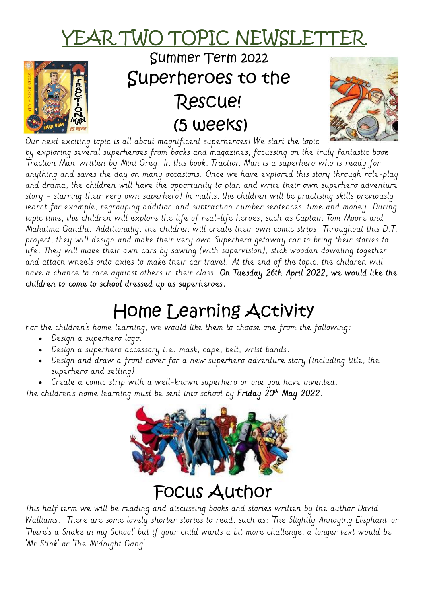# <u>YEAR TWO TOPIC NEWSLET</u>



### Summer Term 2022 Superheroes to the Rescue! (5 weeks)



Our next exciting topic is all about magnificent superheroes! We start the topic by exploring several superheroes from books and magazines, focussing on the truly fantastic book 'Traction Man' written by Mini Grey. In this book, Traction Man is a superhero who is ready for anything and saves the day on many occasions. Once we have explored this story through role-play and drama, the children will have the opportunity to plan and write their own superhero adventure story - starring their very own superhero! In maths, the children will be practising skills previously learnt for example, regrouping addition and subtraction number sentences, time and money. During topic time, the children will explore the life of real-life heroes, such as Captain Tom Moore and Mahatma Gandhi. Additionally, the children will create their own comic strips. Throughout this D.T. project, they will design and make their very own Superhero getaway car to bring their stories to life. They will make their own cars by sawing (with supervision), stick wooden doweling together and attach wheels onto axles to make their car travel. At the end of the topic, the children will have a chance to race against others in their class. On Tuesday 26th April 2022, we would like the children to come to school dressed up as superheroes.

## Home Learning Activity

For the children's home learning, we would like them to choose one from the following:

- Design a superhero logo.
- Design a superhero accessory i.e. mask, cape, belt, wrist bands.
- Design and draw a front cover for a new superhero adventure story (including title, the superhero and setting).
- Create a comic strip with a well-known superhero or one you have invented.

The children's home learning must be sent into school by **Friday 20th May 2022**.



### Focus Author

This half term we will be reading and discussing books and stories written by the author David Walliams. There are some lovely shorter stories to read, such as: 'The Slightly Annoying Elephant' or 'There's a Snake in my School' but if your child wants a bit more challenge, a longer text would be 'Mr Stink' or 'The Midnight Gang'.